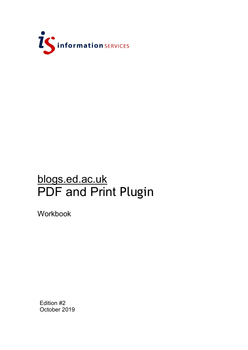

# blogs.ed.ac.uk PDF and Print Plugin

Workbook

Edition #2 October 2019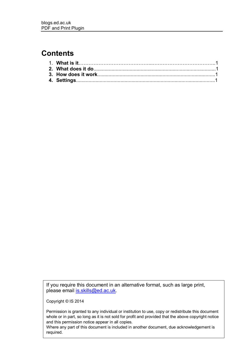### **Contents**

If you require this document in an alternative format, such as large print, please email [is.skills@ed.ac.uk.](mailto:is.skills@ed.ac.uk)

Copyright © IS 2014

Permission is granted to any individual or institution to use, copy or redistribute this document whole or in part, so long as it is not sold for profit and provided that the above copyright notice and this permission notice appear in all copies.

Where any part of this document is included in another document, due acknowledgement is required.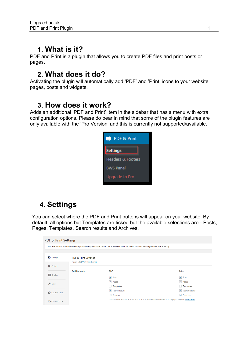### **1. What is it?**

PDF and Print is a plugin that allows you to create PDF files and print posts or pages.

#### **2. What does it do?**

Activating the plugin will automatically add 'PDF' and 'Print' icons to your website pages, posts and widgets.

### **3. How does it work?**

Adds an additional 'PDF and Print' item in the sidebar that has a menu with extra configuration options. Please do bear in mind that some of the plugin features are only available with the 'Pro Version' and this is currently not supported/available.



## **4. Settings**

You can select where the PDF and Print buttons will appear on your website. By default, all options but Templates are ticked but the available selections are - Posts, Pages, Templates, Search results and Archives.

| <b>PDF &amp; Print Settings</b>                                                                                                         |                      |                                                                                                       |                                      |  |
|-----------------------------------------------------------------------------------------------------------------------------------------|----------------------|-------------------------------------------------------------------------------------------------------|--------------------------------------|--|
| The new version of the mPDF library which compatible with PHP V7.x.x is available now! Go to the Misc tab and upgrade the mPDF library. |                      |                                                                                                       |                                      |  |
| Settings<br><b>PDF &amp; Print Settings</b><br>Need Help? Visit Help Center                                                             |                      |                                                                                                       |                                      |  |
| <b>Qutput</b>                                                                                                                           |                      |                                                                                                       |                                      |  |
| <b>E</b> Display                                                                                                                        | <b>Add Button to</b> | <b>PDF</b>                                                                                            | Print                                |  |
|                                                                                                                                         |                      | $\blacktriangledown$ Posts                                                                            | $\sqrt{Posts}$                       |  |
| $\blacktriangleright$ Misc                                                                                                              |                      | $\sqrt{}$ Pages                                                                                       | $\vee$ Pages                         |  |
|                                                                                                                                         |                      | Templates                                                                                             | Templates                            |  |
| Custom Fields                                                                                                                           |                      | $\sqrt{\phantom{a}}$ Search results                                                                   | $\blacktriangleright$ Search results |  |
|                                                                                                                                         |                      | ✔ Archives                                                                                            | $\blacktriangleright$ Archives       |  |
| <b>く</b> > Custom Code                                                                                                                  |                      | Follow the instruction in order to add PDF & Print button to custom post or page template. Learn More |                                      |  |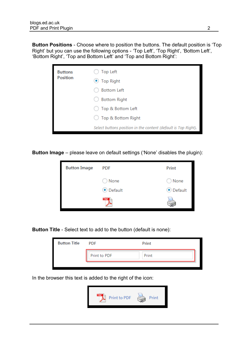**Button Positions** - Choose where to position the buttons. The default position is 'Top Right' but you can use the following options - 'Top Left', 'Top Right', 'Bottom Left', 'Bottom Right', 'Top and Bottom Left' and 'Top and Bottom Right':

| <b>Buttons</b><br><b>Position</b> | <b>Top Left</b><br>$\bullet$ Top Right                         |
|-----------------------------------|----------------------------------------------------------------|
|                                   | <b>Bottom Left</b>                                             |
|                                   | <b>Bottom Right</b>                                            |
|                                   | Top & Bottom Left                                              |
|                                   | ◯ Top & Bottom Right                                           |
|                                   | Select buttons position in the content (default is Top Right). |

**Button Image** – please leave on default settings ('None' disables the plugin):



**Button Title** - Select text to add to the button (default is none):



In the browser this text is added to the right of the icon:

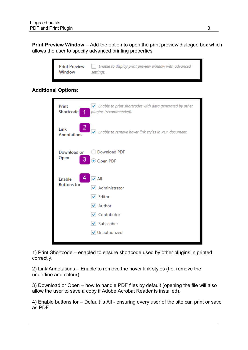**Print Preview Window** – Add the option to open the print preview dialogue box which allows the user to specify advanced printing properties:

| <b>Print Preview</b> | Enable to display print preview window with advanced |
|----------------------|------------------------------------------------------|
| Window               | settings.                                            |

#### **Additional Options:**

| Print                               | $\blacktriangleright$ Enable to print shortcodes with data generated by other                           |
|-------------------------------------|---------------------------------------------------------------------------------------------------------|
| Shortcode:                          | plugins (recommended).                                                                                  |
| 2<br>Link<br><b>Annotations</b>     | Enable to remove hover link styles in PDF document.                                                     |
| Download or                         | Download PDF                                                                                            |
| Open                                | Open PDF                                                                                                |
| <b>Enable</b><br><b>Buttons for</b> | All<br>Administrator<br>Editor<br>Author<br>$\checkmark$<br>Contributor<br>Subscriber<br>✔ Unauthorized |

1) Print Shortcode – enabled to ensure shortcode used by other plugins in printed correctly.

2) Link Annotations – Enable to remove the hover link styles (I.e. remove the underline and colour).

3) Download or Open – how to handle PDF files by default (opening the file will also allow the user to save a copy if Adobe Acrobat Reader is installed).

4) Enable buttons for – Default is All - ensuring every user of the site can print or save as PDF.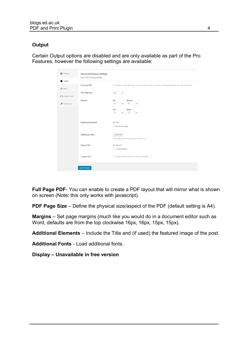#### **Output**

Certain Output options are disabled and are only available as part of the Pro Features, however the following settings are available:

| Settings                  | <b>Document Output Settings</b><br>Need Help? Visit Help Center |                                                                                                             |
|---------------------------|-----------------------------------------------------------------|-------------------------------------------------------------------------------------------------------------|
| Output                    |                                                                 |                                                                                                             |
| $\sqrt{\phantom{a}}$ Misc | <b>Full Page PDF</b>                                            | Enable to create PDF layout to mirror what is shown on screen, including fonts (work only with javascript). |
| <b>く</b> > Custom Code    | <b>PDF Page Size</b>                                            | AA<br>$\pmb{\mathrm{v}}$                                                                                    |
| License Key               | <b>Margins</b>                                                  | Top<br><b>Bottom</b><br>16<br>16<br>px<br>px                                                                |
|                           |                                                                 | Left<br><b>Right</b><br>15<br>15<br>px<br>px                                                                |
|                           | <b>Additional Elements</b>                                      | $\sqrt{}$ Title<br>Featured image                                                                           |
|                           | <b>Additional Fonts</b>                                         | Load Fonts<br>Load additional fonts required for PDF file(-s).                                              |
|                           | <b>Default CSS</b>                                              | ● Default<br>Current theme<br>O                                                                             |
|                           | <b>Custom CSS</b>                                               | Enable to add custom CSS code to documents.                                                                 |
|                           | <b>Save Changes</b>                                             |                                                                                                             |

**Full Page PDF**- You can enable to create a PDF layout that will mirror what is shown on screen (Note: this only works with javascript).

**PDF Page Size** – Define the physical size/aspect of the PDF (default setting is A4).

**Margins** – Set page margins (much like you would do in a document editor such as Word, defaults are from the top clockwise 16px, 16px, 15px, 15px).

**Additional Elements** – Include the Title and (if used) the featured image of the post.

**Additional Fonts** - Load additional fonts.

**Display – Unavailable in free version**